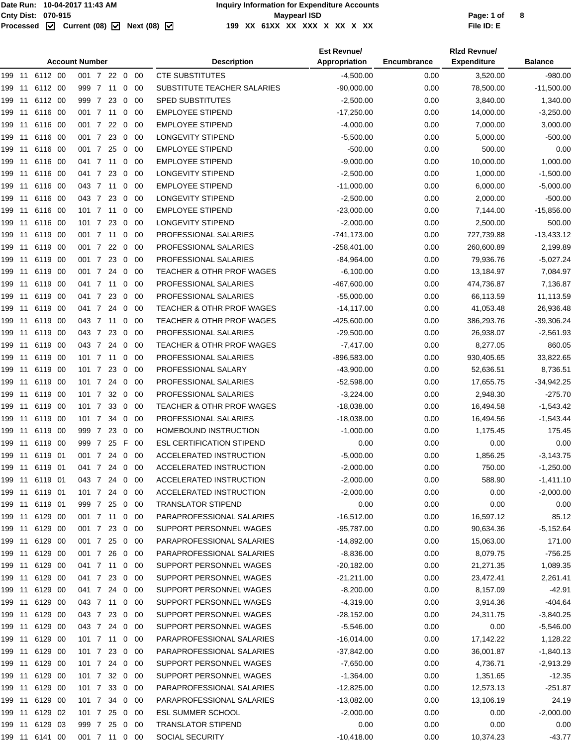|        |     |                |      | <b>Account Number</b> |            |                |         | <b>Description</b>                   | <b>Est Revnue/</b><br>Appropriation | Encumbrance | <b>Rizd Revnue/</b><br><b>Expenditure</b> | <b>Balance</b> |
|--------|-----|----------------|------|-----------------------|------------|----------------|---------|--------------------------------------|-------------------------------------|-------------|-------------------------------------------|----------------|
|        |     | 199 11 6112 00 |      | 001 7 22 0 00         |            |                |         | <b>CTE SUBSTITUTES</b>               | $-4,500.00$                         | 0.00        | 3,520.00                                  | $-980.00$      |
| 199 11 |     | 6112 00        |      | 999 7 11              |            | 0              | 00      | SUBSTITUTE TEACHER SALARIES          | $-90,000.00$                        | 0.00        | 78,500.00                                 | $-11,500.00$   |
| 199 11 |     | 6112 00        |      | 999 7                 | 23 0       |                | -00     | <b>SPED SUBSTITUTES</b>              | $-2,500.00$                         | 0.00        | 3,840.00                                  | 1,340.00       |
| 199    | -11 | 6116 00        |      | 001 7                 | 11         | 0              | 00      | <b>EMPLOYEE STIPEND</b>              | $-17,250.00$                        | 0.00        | 14,000.00                                 | $-3,250.00$    |
| 199 11 |     | 6116 00        |      | 001 7 22              |            | $\overline{0}$ | -00     | <b>EMPLOYEE STIPEND</b>              | $-4,000.00$                         | 0.00        | 7,000.00                                  | 3,000.00       |
| 199 11 |     | 6116 00        |      | 001 7                 | 230        |                | - 00    | LONGEVITY STIPEND                    | $-5,500.00$                         | 0.00        | 5,000.00                                  | $-500.00$      |
| 199    | 11  | 6116 00        |      | 001 7                 | 25         | 0              | -00     | <b>EMPLOYEE STIPEND</b>              | $-500.00$                           | 0.00        | 500.00                                    | 0.00           |
| 199    | 11  | 6116 00        |      | 041 7 11              |            | 0              | -00     | <b>EMPLOYEE STIPEND</b>              | $-9,000.00$                         | 0.00        | 10,000.00                                 | 1,000.00       |
| 199    | 11  | 6116 00        |      | 041 7                 | 23 0       |                | - 00    | <b>LONGEVITY STIPEND</b>             | $-2,500.00$                         | 0.00        | 1,000.00                                  | $-1,500.00$    |
| 199 11 |     | 6116 00        |      | 043 7                 | 11         | 0              | 00      | <b>EMPLOYEE STIPEND</b>              | $-11,000.00$                        | 0.00        | 6,000.00                                  | $-5,000.00$    |
| 199 11 |     | 6116 00        |      | 043 7 23 0            |            |                | -00     | LONGEVITY STIPEND                    | $-2,500.00$                         | 0.00        | 2,000.00                                  | $-500.00$      |
| 199 11 |     | 6116 00        |      | 101 7 11 0 00         |            |                |         | <b>EMPLOYEE STIPEND</b>              | $-23,000.00$                        | 0.00        | 7,144.00                                  | $-15,856.00$   |
| 199 11 |     | 6116 00        |      | 101 7                 | 23         | 0              | 00      | LONGEVITY STIPEND                    | $-2,000.00$                         | 0.00        | 2,500.00                                  | 500.00         |
| 199    | 11  | 6119           | -00  | 001 7 11              |            | 0              | -00     | PROFESSIONAL SALARIES                | -741,173.00                         | 0.00        | 727,739.88                                | $-13,433.12$   |
| 199    | 11  | 6119 00        |      | 001 7                 | 22 0       |                | - 00    | PROFESSIONAL SALARIES                | $-258,401.00$                       | 0.00        | 260,600.89                                | 2,199.89       |
| 199    | -11 | 6119           | - 00 | 001 7                 | 23         | $\overline{0}$ | -00     | PROFESSIONAL SALARIES                | $-84,964.00$                        | 0.00        | 79,936.76                                 | $-5,027.24$    |
| 199 11 |     | 6119 00        |      | 001 7                 | 24         | 0              | -00     | <b>TEACHER &amp; OTHR PROF WAGES</b> | $-6,100.00$                         | 0.00        | 13,184.97                                 | 7,084.97       |
| 199 11 |     | 6119 00        |      | 041 7                 | 11         | $\mathbf 0$    | - 00    | PROFESSIONAL SALARIES                | -467,600.00                         | 0.00        | 474,736.87                                | 7,136.87       |
| 199    | 11  | 6119 00        |      | 041 7                 | 23         | 0              | -00     | PROFESSIONAL SALARIES                | $-55,000.00$                        | 0.00        | 66,113.59                                 | 11,113.59      |
| 199    | 11  | 6119           | -00  | 041 7                 | 24         | 0              | 00      | TEACHER & OTHR PROF WAGES            | $-14,117.00$                        | 0.00        | 41,053.48                                 | 26,936.48      |
| 199    | -11 | 6119 00        |      | 043 7                 | 11         | 0              | - 00    | TEACHER & OTHR PROF WAGES            | $-425,600.00$                       | 0.00        | 386,293.76                                | $-39,306.24$   |
| 199    | 11  | 6119           | - 00 | 043 7                 | 23         | 0              | 00      | PROFESSIONAL SALARIES                | $-29,500.00$                        | 0.00        | 26,938.07                                 | $-2,561.93$    |
| 199 11 |     | 6119 00        |      | 043 7                 | 24         | $\mathbf 0$    | 00      | <b>TEACHER &amp; OTHR PROF WAGES</b> | $-7,417.00$                         | 0.00        | 8,277.05                                  | 860.05         |
| 199 11 |     | 6119 00        |      | 101 7 11              |            | $\mathbf 0$    | - 00    | PROFESSIONAL SALARIES                | $-896,583.00$                       | 0.00        | 930,405.65                                | 33,822.65      |
| 199    | -11 | 6119 00        |      | 101 7                 | 23         | 0              | 00      | PROFESSIONAL SALARY                  | $-43,900.00$                        | 0.00        | 52,636.51                                 | 8,736.51       |
| 199    | 11  | 6119           | -00  | 101 7                 | 24         | 0              | -00     | PROFESSIONAL SALARIES                | $-52,598.00$                        | 0.00        | 17,655.75                                 | $-34,942.25$   |
| 199    | 11  | 6119 00        |      | 101 7                 | $32\quad0$ |                | - 00    | PROFESSIONAL SALARIES                | $-3,224.00$                         | 0.00        | 2,948.30                                  | $-275.70$      |
| 199    | -11 | 6119           | - 00 | 101 7                 | 33         | $\mathbf 0$    | -00     | TEACHER & OTHR PROF WAGES            | $-18,038.00$                        | 0.00        | 16,494.58                                 | $-1,543.42$    |
| 199 11 |     | 6119 00        |      | 101 7                 | 34         | 0              | -00     | PROFESSIONAL SALARIES                | $-18,038.00$                        | 0.00        | 16,494.56                                 | $-1,543.44$    |
| 199 11 |     | 6119 00        |      | 999 7                 | 23 0       |                | -00     | HOMEBOUND INSTRUCTION                | $-1,000.00$                         | 0.00        | 1,175.45                                  | 175.45         |
| 199 11 |     | 6119 00        |      | 999 7                 | 25 F       |                | - 00    | <b>ESL CERTIFICATION STIPEND</b>     | 0.00                                | 0.00        | 0.00                                      | 0.00           |
|        |     | 199 11 6119 01 |      | 001 7 24 0 00         |            |                |         | ACCELERATED INSTRUCTION              | $-5,000.00$                         | 0.00        | 1,856.25                                  | $-3,143.75$    |
|        |     | 199 11 6119 01 |      | 041 7 24 0 00         |            |                |         | ACCELERATED INSTRUCTION              | $-2,000.00$                         | 0.00        | 750.00                                    | $-1,250.00$    |
|        |     | 199 11 6119 01 |      | 043 7 24 0 00         |            |                |         | ACCELERATED INSTRUCTION              | $-2,000.00$                         | 0.00        | 588.90                                    | $-1,411.10$    |
|        |     | 199 11 6119 01 |      | 101 7 24 0 00         |            |                |         | ACCELERATED INSTRUCTION              | $-2,000.00$                         | 0.00        | 0.00                                      | $-2,000.00$    |
|        |     | 199 11 6119 01 |      | 999 7 25 0 00         |            |                |         | <b>TRANSLATOR STIPEND</b>            | 0.00                                | 0.00        | 0.00                                      | 0.00           |
| 199 11 |     | 6129 00        |      | 001 7 11 0 00         |            |                |         | PARAPROFESSIONAL SALARIES            | $-16,512.00$                        | 0.00        | 16,597.12                                 | 85.12          |
| 199 11 |     | 6129 00        |      | 001 7 23 0 00         |            |                |         | SUPPORT PERSONNEL WAGES              | $-95,787.00$                        | 0.00        | 90,634.36                                 | $-5,152.64$    |
| 199 11 |     | 6129 00        |      | 001 7 25 0 00         |            |                |         | PARAPROFESSIONAL SALARIES            | $-14,892.00$                        | 0.00        | 15,063.00                                 | 171.00         |
| 199 11 |     | 6129 00        |      | 001 7 26 0 00         |            |                |         | PARAPROFESSIONAL SALARIES            | $-8,836.00$                         | 0.00        | 8,079.75                                  | $-756.25$      |
| 199 11 |     | 6129 00        |      | 041 7 11 0 00         |            |                |         | SUPPORT PERSONNEL WAGES              | $-20,182.00$                        | 0.00        | 21,271.35                                 | 1,089.35       |
| 199 11 |     | 6129 00        |      | 041 7 23 0 00         |            |                |         | SUPPORT PERSONNEL WAGES              | $-21,211.00$                        | 0.00        | 23,472.41                                 | 2,261.41       |
| 199 11 |     | 6129 00        |      | 041 7 24 0 00         |            |                |         | SUPPORT PERSONNEL WAGES              | $-8,200.00$                         | 0.00        | 8,157.09                                  | $-42.91$       |
| 199 11 |     | 6129 00        |      | 043 7 11 0 00         |            |                |         | SUPPORT PERSONNEL WAGES              | $-4,319.00$                         | 0.00        | 3,914.36                                  | $-404.64$      |
| 199 11 |     | 6129 00        |      | 043 7                 | 23 0 00    |                |         | SUPPORT PERSONNEL WAGES              | $-28,152.00$                        | 0.00        | 24,311.75                                 | $-3,840.25$    |
| 199 11 |     | 6129 00        |      | 043 7 24 0 00         |            |                |         | SUPPORT PERSONNEL WAGES              | $-5,546.00$                         | 0.00        | 0.00                                      | $-5,546.00$    |
| 199 11 |     | 6129 00        |      | 101 7 11 0 00         |            |                |         | PARAPROFESSIONAL SALARIES            | $-16,014.00$                        | 0.00        | 17,142.22                                 | 1,128.22       |
| 199 11 |     | 6129 00        |      | 101 7 23 0 00         |            |                |         | PARAPROFESSIONAL SALARIES            | $-37,842.00$                        | 0.00        | 36,001.87                                 | $-1,840.13$    |
| 199 11 |     | 6129 00        |      | 101 7 24 0 00         |            |                |         | SUPPORT PERSONNEL WAGES              | $-7,650.00$                         | 0.00        | 4,736.71                                  | $-2,913.29$    |
| 199 11 |     | 6129 00        |      | 101 7 32 0 00         |            |                |         | SUPPORT PERSONNEL WAGES              | $-1,364.00$                         | 0.00        | 1,351.65                                  | $-12.35$       |
| 199 11 |     | 6129 00        |      | 101 7                 |            |                | 33 0 00 | PARAPROFESSIONAL SALARIES            | $-12,825.00$                        | 0.00        | 12,573.13                                 | $-251.87$      |
| 199 11 |     | 6129 00        |      | 101 7 34 0 00         |            |                |         | PARAPROFESSIONAL SALARIES            | $-13,082.00$                        | 0.00        | 13,106.19                                 | 24.19          |
|        |     | 199 11 6129 02 |      | 101 7 25 0 00         |            |                |         | ESL SUMMER SCHOOL                    | $-2,000.00$                         | 0.00        | 0.00                                      | $-2,000.00$    |
|        |     | 199 11 6129 03 |      | 999 7 25 0 00         |            |                |         | <b>TRANSLATOR STIPEND</b>            | 0.00                                | 0.00        | 0.00                                      | 0.00           |
|        |     | 199 11 6141 00 |      | 001 7 11 0 00         |            |                |         | <b>SOCIAL SECURITY</b>               | $-10,418.00$                        | 0.00        | 10,374.23                                 | $-43.77$       |
|        |     |                |      |                       |            |                |         |                                      |                                     |             |                                           |                |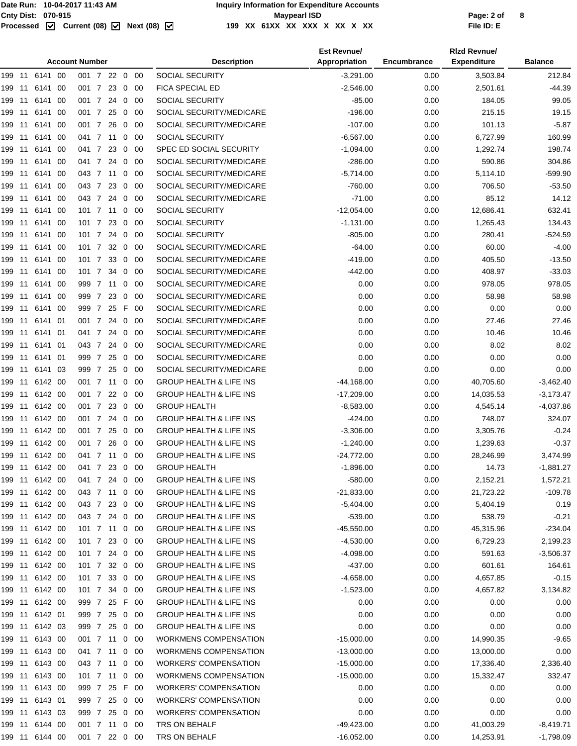#### Page: 2 of<br>
Processed **Maxmud Contract (08)** Mext (08) Maxmud Maypearl ISD<br>
Processed M Current (08) M Next (08) M 199 XX 61XX XX XX X XX X XX **199 XX 61XX XX XXX X XX X XX File ID: E**

|                |         |      | <b>Account Number</b> |         |                         |      | <b>Description</b>                 | <b>Est Revnue/</b><br>Appropriation | <b>Encumbrance</b> | <b>Rizd Revnue/</b><br><b>Expenditure</b> | <b>Balance</b> |
|----------------|---------|------|-----------------------|---------|-------------------------|------|------------------------------------|-------------------------------------|--------------------|-------------------------------------------|----------------|
| 199 11 6141 00 |         |      | 001 7 22 0 00         |         |                         |      | <b>SOCIAL SECURITY</b>             | $-3,291.00$                         | 0.00               | 3,503.84                                  | 212.84         |
| 199 11         | 6141    | -00  | 001 7                 | 23 0    |                         | - 00 | FICA SPECIAL ED                    | $-2,546.00$                         | 0.00               | 2,501.61                                  | $-44.39$       |
| 199 11         | 6141    | -00  | 001 7                 | 24      | $\overline{0}$          | -00  | SOCIAL SECURITY                    | $-85.00$                            | 0.00               | 184.05                                    | 99.05          |
| 199 11         | 6141 00 |      | 001 7 25 0            |         |                         | - 00 | SOCIAL SECURITY/MEDICARE           | $-196.00$                           | 0.00               | 215.15                                    | 19.15          |
| 199 11         | 6141 00 |      | 001 7                 | 26      | $\overline{\mathbf{0}}$ | - 00 | SOCIAL SECURITY/MEDICARE           | $-107.00$                           | 0.00               | 101.13                                    | $-5.87$        |
| 199<br>-11     | 6141    | - 00 | 041 7                 | 11      | 0                       | -00  | <b>SOCIAL SECURITY</b>             | $-6,567.00$                         | 0.00               | 6,727.99                                  | 160.99         |
| 199<br>11      | 6141    | 00   | 041 7                 | 23      | 0                       | - 00 | SPEC ED SOCIAL SECURITY            | $-1,094.00$                         | 0.00               | 1,292.74                                  | 198.74         |
| 199<br>-11     | 6141    | - 00 | 041 7                 | 24      | 0                       | - 00 | SOCIAL SECURITY/MEDICARE           | $-286.00$                           | 0.00               | 590.86                                    | 304.86         |
| 199 11         | 6141    | -00  | 043 7                 | 11      | 0                       | -00  | SOCIAL SECURITY/MEDICARE           | $-5,714.00$                         | 0.00               | 5,114.10                                  | $-599.90$      |
| 199 11         | 6141 00 |      | 043 7                 | 23      | $\mathbf 0$             | 00   | SOCIAL SECURITY/MEDICARE           | $-760.00$                           | 0.00               | 706.50                                    | $-53.50$       |
| 199 11         | 6141 00 |      | 043 7                 | 24 0    |                         | - 00 | SOCIAL SECURITY/MEDICARE           | $-71.00$                            | 0.00               | 85.12                                     | 14.12          |
| 199 11         | 6141    | - 00 | 101 7 11              |         | 0                       | -00  | <b>SOCIAL SECURITY</b>             | $-12,054.00$                        | 0.00               | 12,686.41                                 | 632.41         |
| 199<br>11      | 6141    | 00   | 101 7                 | 23      | 0                       | -00  | SOCIAL SECURITY                    | $-1,131.00$                         | 0.00               | 1,265.43                                  | 134.43         |
| 199 11         | 6141    | -00  | 101 7                 | 24      | 0                       | -00  | SOCIAL SECURITY                    | $-805.00$                           | 0.00               | 280.41                                    | $-524.59$      |
| 199 11         | 6141    | -00  | 101 7                 | 32 0    |                         | -00  | SOCIAL SECURITY/MEDICARE           | $-64.00$                            | 0.00               | 60.00                                     | $-4.00$        |
| 199 11         | 6141 00 |      | 101 7                 | 33      | $\overline{0}$          | - 00 | SOCIAL SECURITY/MEDICARE           | $-419.00$                           | 0.00               | 405.50                                    | $-13.50$       |
| 199 11         | 6141 00 |      | 101 7                 | 34      | $\mathbf 0$             | - 00 | SOCIAL SECURITY/MEDICARE           | $-442.00$                           | 0.00               | 408.97                                    | $-33.03$       |
| 199 11         | 6141    | - 00 | 999 7 11              |         | 0                       | -00  | SOCIAL SECURITY/MEDICARE           | 0.00                                | 0.00               | 978.05                                    | 978.05         |
| 199<br>11      | 6141    | 00   | 999 7                 | 23      | 0                       | 00   | SOCIAL SECURITY/MEDICARE           | 0.00                                | 0.00               | 58.98                                     | 58.98          |
| 199 11         | 6141    | -00  | 999 7                 | 25 F    |                         | - 00 | SOCIAL SECURITY/MEDICARE           | 0.00                                | 0.00               | 0.00                                      | 0.00           |
| 199 11         | 6141 01 |      | 001 7                 | 24      | $\overline{0}$          | -00  | SOCIAL SECURITY/MEDICARE           | 0.00                                | 0.00               | 27.46                                     | 27.46          |
| 199 11         | 6141 01 |      | 041 7 24              |         | $\overline{0}$          | - 00 | SOCIAL SECURITY/MEDICARE           | 0.00                                | 0.00               | 10.46                                     | 10.46          |
| 199 11         | 6141 01 |      | 043 7 24 0            |         |                         | - 00 | SOCIAL SECURITY/MEDICARE           | 0.00                                | 0.00               | 8.02                                      | 8.02           |
| 199 11         | 6141 01 |      | 999 7                 | 25      | $\overline{0}$          | -00  | SOCIAL SECURITY/MEDICARE           | 0.00                                | 0.00               | 0.00                                      | 0.00           |
| 199<br>-11     | 6141    | -03  | 999 7                 | 250     |                         | -00  | SOCIAL SECURITY/MEDICARE           | 0.00                                | 0.00               | 0.00                                      | 0.00           |
| 199 11         | 6142 00 |      | 001 7 11 0            |         |                         | - 00 | <b>GROUP HEALTH &amp; LIFE INS</b> | $-44,168.00$                        | 0.00               | 40,705.60                                 | $-3,462.40$    |
| 199 11         | 6142 00 |      | 001 7                 | 22      | $\overline{0}$          | -00  | <b>GROUP HEALTH &amp; LIFE INS</b> | $-17,209.00$                        | 0.00               | 14,035.53                                 | $-3,173.47$    |
| 199 11         | 6142 00 |      | 001 7                 | 23 0 00 |                         |      | <b>GROUP HEALTH</b>                | $-8,583.00$                         | 0.00               | 4,545.14                                  | $-4,037.86$    |
| 199 11         | 6142 00 |      | 001 7                 | 24 0    |                         | - 00 | <b>GROUP HEALTH &amp; LIFE INS</b> | $-424.00$                           | 0.00               | 748.07                                    | 324.07         |
| 199<br>-11     | 6142 00 |      | 001 7                 | 25      | $\overline{0}$          | -00  | <b>GROUP HEALTH &amp; LIFE INS</b> | $-3,306.00$                         | 0.00               | 3,305.76                                  | $-0.24$        |
| 199<br>11      | 6142 00 |      | 001 7                 | 26      | 0                       | -00  | <b>GROUP HEALTH &amp; LIFE INS</b> | $-1,240.00$                         | 0.00               | 1,239.63                                  | $-0.37$        |
| 199 11 6142 00 |         |      | 041 7 11 0 00         |         |                         |      | <b>GROUP HEALTH &amp; LIFE INS</b> | $-24,772.00$                        | 0.00               | 28,246.99                                 | 3,474.99       |
| 199<br>11      | 6142 00 |      | 041 7 23 0 00         |         |                         |      | <b>GROUP HEALTH</b>                | $-1,896.00$                         | 0.00               | 14.73                                     | $-1,881.27$    |
| 199 11         | 6142 00 |      | 041 7 24 0 00         |         |                         |      | GROUP HEALTH & LIFE INS            | $-580.00$                           | 0.00               | 2,152.21                                  | 1,572.21       |
| 199 11         | 6142 00 |      | 043 7 11 0 00         |         |                         |      | <b>GROUP HEALTH &amp; LIFE INS</b> | $-21,833.00$                        | 0.00               | 21,723.22                                 | $-109.78$      |
| 199 11         | 6142 00 |      | 043 7 23 0 00         |         |                         |      | <b>GROUP HEALTH &amp; LIFE INS</b> | $-5,404.00$                         | 0.00               | 5,404.19                                  | 0.19           |
| 199 11         | 6142 00 |      | 043 7 24 0 00         |         |                         |      | <b>GROUP HEALTH &amp; LIFE INS</b> | $-539.00$                           | 0.00               | 538.79                                    | $-0.21$        |
| 199 11         | 6142 00 |      | 101 7 11 0 00         |         |                         |      | <b>GROUP HEALTH &amp; LIFE INS</b> | $-45,550.00$                        | 0.00               | 45,315.96                                 | $-234.04$      |
| 199 11         | 6142 00 |      | 101 7 23 0 00         |         |                         |      | <b>GROUP HEALTH &amp; LIFE INS</b> | $-4,530.00$                         | 0.00               | 6,729.23                                  | 2,199.23       |
| 199 11         | 6142 00 |      | 101 7 24 0 00         |         |                         |      | <b>GROUP HEALTH &amp; LIFE INS</b> | $-4,098.00$                         | 0.00               | 591.63                                    | $-3,506.37$    |
| 199 11 6142 00 |         |      | 101 7 32 0 00         |         |                         |      | <b>GROUP HEALTH &amp; LIFE INS</b> | $-437.00$                           | 0.00               | 601.61                                    | 164.61         |
| 199 11         | 6142 00 |      | 101 7 33 0 00         |         |                         |      | <b>GROUP HEALTH &amp; LIFE INS</b> | $-4,658.00$                         | 0.00               | 4,657.85                                  | $-0.15$        |
| 199 11         | 6142 00 |      | 101 7 34 0 00         |         |                         |      | <b>GROUP HEALTH &amp; LIFE INS</b> | $-1,523.00$                         | 0.00               | 4,657.82                                  | 3,134.82       |
| 199 11         | 6142 00 |      | 999 7 25 F 00         |         |                         |      | <b>GROUP HEALTH &amp; LIFE INS</b> | 0.00                                | 0.00               | 0.00                                      | 0.00           |
| 199 11         | 6142 01 |      | 999 7 25 0 00         |         |                         |      | <b>GROUP HEALTH &amp; LIFE INS</b> | 0.00                                | 0.00               | 0.00                                      | 0.00           |
| 199 11         | 6142 03 |      | 999 7 25 0 00         |         |                         |      | <b>GROUP HEALTH &amp; LIFE INS</b> | 0.00                                | 0.00               | 0.00                                      | 0.00           |
| 199 11         | 6143 00 |      | 001 7 11 0 00         |         |                         |      | WORKMENS COMPENSATION              | $-15,000.00$                        | 0.00               | 14,990.35                                 | $-9.65$        |
| 199 11         | 6143 00 |      | 041 7 11 0 00         |         |                         |      | WORKMENS COMPENSATION              | $-13,000.00$                        | 0.00               | 13,000.00                                 | 0.00           |
| 199 11         | 6143 00 |      | 043 7 11 0 00         |         |                         |      | <b>WORKERS' COMPENSATION</b>       | $-15,000.00$                        | 0.00               | 17,336.40                                 | 2,336.40       |
| 199 11         | 6143 00 |      | 101 7 11 0 00         |         |                         |      | <b>WORKMENS COMPENSATION</b>       | $-15,000.00$                        | 0.00               | 15,332.47                                 | 332.47         |
| 199 11         | 6143 00 |      | 999 7 25 F 00         |         |                         |      | <b>WORKERS' COMPENSATION</b>       | 0.00                                | 0.00               | 0.00                                      | 0.00           |
| 199 11         | 6143 01 |      | 999 7 25 0 00         |         |                         |      | <b>WORKERS' COMPENSATION</b>       | 0.00                                | 0.00               | 0.00                                      | 0.00           |
| 199 11         | 6143 03 |      | 999 7 25 0 00         |         |                         |      | <b>WORKERS' COMPENSATION</b>       | 0.00                                | 0.00               | 0.00                                      | 0.00           |
| 199 11         | 6144 00 |      | 001 7 11 0 00         |         |                         |      | TRS ON BEHALF                      | $-49,423.00$                        | 0.00               | 41,003.29                                 | $-8,419.71$    |
| 199 11         | 6144 00 |      | 001 7 22 0 00         |         |                         |      | TRS ON BEHALF                      | $-16,052.00$                        | 0.00               | 14,253.91                                 | $-1,798.09$    |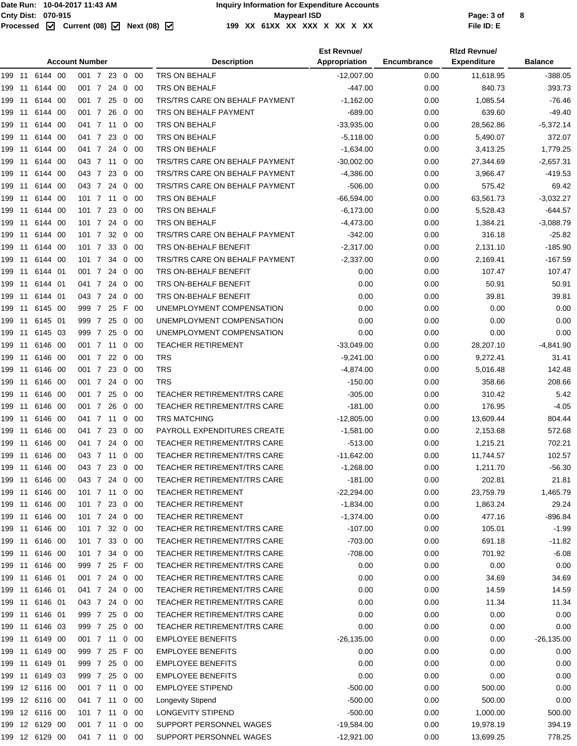|        |                |      | <b>Account Number</b> |              |                |            | <b>Description</b>                    | <b>Est Revnue/</b><br>Appropriation | Encumbrance | <b>Rizd Revnue/</b><br><b>Expenditure</b> | <b>Balance</b> |
|--------|----------------|------|-----------------------|--------------|----------------|------------|---------------------------------------|-------------------------------------|-------------|-------------------------------------------|----------------|
|        | 199 11 6144 00 |      | 001 7 23 0 00         |              |                |            | <b>TRS ON BEHALF</b>                  | $-12,007.00$                        | 0.00        | 11,618.95                                 | $-388.05$      |
| 199 11 | 6144           | -00  | 001 7                 | 24           | $\overline{0}$ | 00         | TRS ON BEHALF                         | $-447.00$                           | 0.00        | 840.73                                    | 393.73         |
| 199 11 | 6144           | - 00 | 001 7                 | 25           | $\overline{0}$ | -00        | TRS/TRS CARE ON BEHALF PAYMENT        | $-1,162.00$                         | 0.00        | 1,085.54                                  | -76.46         |
| 199 11 | 6144           | - 00 | 001 7                 | 26           | $\mathbf 0$    | 00         | TRS ON BEHALF PAYMENT                 | $-689.00$                           | 0.00        | 639.60                                    | $-49.40$       |
| 199 11 | 6144 00        |      | 041 7 11 0            |              |                | -00        | TRS ON BEHALF                         | $-33,935.00$                        | 0.00        | 28,562.86                                 | $-5,372.14$    |
| 199 11 | 6144           | - 00 | 041 7 23 0            |              |                | - 00       | TRS ON BEHALF                         | $-5,118.00$                         | 0.00        | 5,490.07                                  | 372.07         |
| 199 11 | 6144           | -00  | 041 7                 | 24           | $\overline{0}$ | -00        | TRS ON BEHALF                         | $-1,634.00$                         | 0.00        | 3,413.25                                  | 1,779.25       |
| 199 11 | 6144           | -00  | 043 7 11 0            |              |                | -00        | TRS/TRS CARE ON BEHALF PAYMENT        | $-30,002.00$                        | 0.00        | 27,344.69                                 | $-2,657.31$    |
| 199 11 | 6144           | - 00 | 043 7                 | $23 \quad 0$ |                | - 00       | <b>TRS/TRS CARE ON BEHALF PAYMENT</b> | $-4,386.00$                         | 0.00        | 3,966.47                                  | -419.53        |
| 199 11 | 6144           | -00  | 043 7                 | 24           | $\overline{0}$ | 00         | TRS/TRS CARE ON BEHALF PAYMENT        | $-506.00$                           | 0.00        | 575.42                                    | 69.42          |
| 199 11 | 6144 00        |      | 101 7 11 0            |              |                | - 00       | TRS ON BEHALF                         | $-66,594.00$                        | 0.00        | 63,561.73                                 | $-3,032.27$    |
| 199 11 | 6144           | - 00 | 101 7 23 0            |              |                | - 00       | TRS ON BEHALF                         | $-6,173.00$                         | 0.00        | 5,528.43                                  | $-644.57$      |
| 199 11 | 6144           | - 00 | 101 7 24              |              | $\mathbf 0$    | -00        | TRS ON BEHALF                         | $-4,473.00$                         | 0.00        | 1,384.21                                  | $-3,088.79$    |
| 199 11 | 6144           | -00  | 101 7                 | 32 0         |                | -00        | TRS/TRS CARE ON BEHALF PAYMENT        | $-342.00$                           | 0.00        | 316.18                                    | $-25.82$       |
| 199 11 | 6144           | - 00 | 101 7                 | $33\quad0$   |                | - 00       | TRS ON-BEHALF BENEFIT                 | $-2,317.00$                         | 0.00        | 2,131.10                                  | $-185.90$      |
| 199 11 | 6144           | - 00 | 101 7                 | 34           | $\overline{0}$ | 00         | TRS/TRS CARE ON BEHALF PAYMENT        | $-2,337.00$                         | 0.00        | 2,169.41                                  | $-167.59$      |
| 199 11 | 6144 01        |      | 001 7                 | 24 0         |                | -00        | TRS ON-BEHALF BENEFIT                 | 0.00                                | 0.00        | 107.47                                    | 107.47         |
| 199 11 | 6144 01        |      | 041 7                 | 24 0         |                | - 00       | TRS ON-BEHALF BENEFIT                 | 0.00                                | 0.00        | 50.91                                     | 50.91          |
| 199 11 | 6144           | - 01 | 043 7                 | 24           | $\overline{0}$ | -00        | TRS ON-BEHALF BENEFIT                 | 0.00                                | 0.00        | 39.81                                     | 39.81          |
| 199 11 | 6145           | - 00 | 999 7                 | 25           | -F             | 00         | UNEMPLOYMENT COMPENSATION             | 0.00                                | 0.00        | 0.00                                      | 0.00           |
| 199 11 | 6145           | - 01 | 999 7                 | 25           | $\mathbf 0$    | 00         | UNEMPLOYMENT COMPENSATION             | 0.00                                | 0.00        | 0.00                                      | 0.00           |
| 199 11 | 6145           | -03  | 999 7                 | 25           | $\mathbf 0$    | 00         | UNEMPLOYMENT COMPENSATION             | 0.00                                | 0.00        | 0.00                                      | 0.00           |
| 199 11 | 6146           | - 00 | 001 7 11 0            |              |                | 00         | <b>TEACHER RETIREMENT</b>             | $-33,049.00$                        | 0.00        | 28,207.10                                 | $-4,841.90$    |
| 199 11 | 6146           | - 00 | 001 7 22 0            |              |                | - 00       | <b>TRS</b>                            | $-9,241.00$                         | 0.00        | 9,272.41                                  | 31.41          |
| 199 11 | 6146           | - 00 | 001 7                 | 23           | $\overline{0}$ | - 00       | <b>TRS</b>                            | $-4,874.00$                         | 0.00        | 5,016.48                                  | 142.48         |
| 199 11 | 6146           | -00  | 001 7                 | 24 0         |                | -00        | <b>TRS</b>                            | $-150.00$                           | 0.00        | 358.66                                    | 208.66         |
| 199 11 | 6146           | - 00 | 001 7                 | 25           | $\overline{0}$ | - 00       | <b>TEACHER RETIREMENT/TRS CARE</b>    | $-305.00$                           | 0.00        | 310.42                                    | 5.42           |
| 199 11 | 6146           | - 00 | 001 7                 | 26           | $\mathbf 0$    | 00         | <b>TEACHER RETIREMENT/TRS CARE</b>    | $-181.00$                           | 0.00        | 176.95                                    | $-4.05$        |
| 199 11 | 6146           | - 00 | 041 7 11 0            |              |                | -00        | <b>TRS MATCHING</b>                   | $-12,805.00$                        | 0.00        | 13,609.44                                 | 804.44         |
| 199 11 | 6146           | - 00 | 041 7 23 0            |              |                | - 00       | PAYROLL EXPENDITURES CREATE           | $-1,581.00$                         | 0.00        | 2,153.68                                  | 572.68         |
| 199 11 | 6146           | - 00 | 041 7 24              |              | - 0            | - 00       | <b>TEACHER RETIREMENT/TRS CARE</b>    | $-513.00$                           | 0.00        | 1,215.21                                  | 702.21         |
|        | 199 11 6146 00 |      | 043 7 11 0 00         |              |                |            | TEACHER RETIREMENT/TRS CARE           | $-11,642.00$                        | 0.00        | 11,744.57                                 | 102.57         |
| 199 11 | 6146           | 00   | 043 7 23 0 00         |              |                |            | TEACHER RETIREMENT/TRS CARE           | $-1,268.00$                         | 0.00        | 1,211.70                                  | $-56.30$       |
| 199 11 | 6146 00        |      | 043 7                 | 24 0 00      |                |            | TEACHER RETIREMENT/TRS CARE           | $-181.00$                           | 0.00        | 202.81                                    | 21.81          |
|        | 199 11 6146 00 |      | 101 7 11 0 00         |              |                |            | <b>TEACHER RETIREMENT</b>             | $-22,294.00$                        | 0.00        | 23,759.79                                 | 1,465.79       |
| 199 11 | 6146 00        |      | 101 7 23 0 00         |              |                |            | <b>TEACHER RETIREMENT</b>             | $-1,834.00$                         | 0.00        | 1,863.24                                  | 29.24          |
| 199 11 | 6146 00        |      | 101 7 24 0 00         |              |                |            | <b>TEACHER RETIREMENT</b>             | $-1,374.00$                         | 0.00        | 477.16                                    | $-896.84$      |
| 199 11 | 6146 00        |      | 101 7 32 0 00         |              |                |            | TEACHER RETIREMENT/TRS CARE           | $-107.00$                           | 0.00        | 105.01                                    | $-1.99$        |
| 199 11 | 6146 00        |      | 101 7                 | 33 0 00      |                |            | TEACHER RETIREMENT/TRS CARE           | $-703.00$                           | 0.00        | 691.18                                    | $-11.82$       |
| 199 11 | 6146 00        |      | 101 7                 | 34 0 00      |                |            | <b>TEACHER RETIREMENT/TRS CARE</b>    | $-708.00$                           | 0.00        | 701.92                                    | $-6.08$        |
| 199 11 | 6146 00        |      | 999 7 25 F 00         |              |                |            | TEACHER RETIREMENT/TRS CARE           | 0.00                                | 0.00        | 0.00                                      | 0.00           |
| 199 11 | 6146 01        |      | 001 7 24 0 00         |              |                |            | TEACHER RETIREMENT/TRS CARE           | 0.00                                | 0.00        | 34.69                                     | 34.69          |
| 199 11 | 6146 01        |      | 041 7 24              |              |                | $0\quad00$ | TEACHER RETIREMENT/TRS CARE           | 0.00                                | 0.00        | 14.59                                     | 14.59          |
| 199 11 | 6146 01        |      | 043 7 24 0            |              |                | - 00       | TEACHER RETIREMENT/TRS CARE           | 0.00                                | 0.00        | 11.34                                     | 11.34          |
| 199 11 | 6146 01        |      | 999 7 25 0 00         |              |                |            | <b>TEACHER RETIREMENT/TRS CARE</b>    | 0.00                                | 0.00        | 0.00                                      | 0.00           |
| 199 11 | 6146 03        |      | 999 7                 | 25           | $\overline{0}$ | - 00       | <b>TEACHER RETIREMENT/TRS CARE</b>    | 0.00                                | 0.00        | 0.00                                      | 0.00           |
| 199 11 | 6149 00        |      | 001 7 11 0 00         |              |                |            | <b>EMPLOYEE BENEFITS</b>              | $-26,135.00$                        | 0.00        | 0.00                                      | $-26,135.00$   |
| 199 11 | 6149 00        |      | 999 7 25 F 00         |              |                |            | <b>EMPLOYEE BENEFITS</b>              | 0.00                                | 0.00        | 0.00                                      | 0.00           |
| 199 11 | 6149 01        |      | 999 7 25              |              | $\mathbf 0$    | - 00       | <b>EMPLOYEE BENEFITS</b>              | 0.00                                | 0.00        | 0.00                                      | 0.00           |
|        | 199 11 6149 03 |      | 999 7 25 0 00         |              |                |            | <b>EMPLOYEE BENEFITS</b>              | 0.00                                | 0.00        | 0.00                                      | 0.00           |
|        | 199 12 6116 00 |      | 001 7 11 0 00         |              |                |            | <b>EMPLOYEE STIPEND</b>               | $-500.00$                           | 0.00        | 500.00                                    | 0.00           |
|        | 199 12 6116 00 |      | 041 7 11 0            |              |                | - 00       | <b>Longevity Stipend</b>              | $-500.00$                           | 0.00        | 500.00                                    | 0.00           |
|        | 199 12 6116 00 |      | 101 7 11 0 00         |              |                |            | LONGEVITY STIPEND                     | $-500.00$                           | 0.00        | 1,000.00                                  | 500.00         |
|        | 199 12 6129 00 |      | 001 7 11 0 00         |              |                |            | SUPPORT PERSONNEL WAGES               | $-19,584.00$                        | 0.00        | 19,978.19                                 | 394.19         |
|        | 199 12 6129 00 |      | 041 7 11 0 00         |              |                |            | SUPPORT PERSONNEL WAGES               | $-12,921.00$                        | 0.00        | 13,699.25                                 | 778.25         |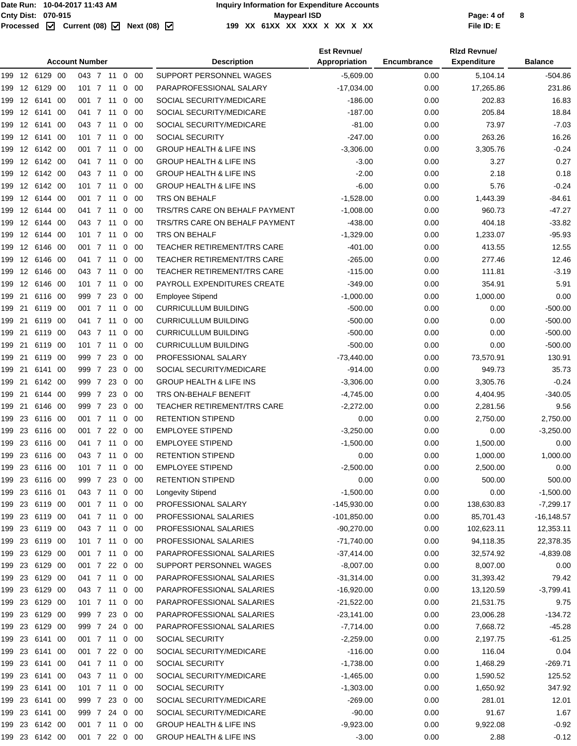|        |                   |                |      | <b>Account Number</b> |      |                |             | <b>Description</b>                 | <b>Est Revnue/</b><br>Appropriation | Encumbrance | <b>Rizd Revnuel</b><br><b>Expenditure</b> | <b>Balance</b> |
|--------|-------------------|----------------|------|-----------------------|------|----------------|-------------|------------------------------------|-------------------------------------|-------------|-------------------------------------------|----------------|
|        |                   | 199 12 6129 00 |      | 043 7 11 0 00         |      |                |             | SUPPORT PERSONNEL WAGES            | $-5.609.00$                         | 0.00        | 5,104.14                                  | $-504.86$      |
|        |                   | 199 12 6129    | -00  | 101 7 11              |      | $\overline{0}$ | -00         | PARAPROFESSIONAL SALARY            | $-17,034.00$                        | 0.00        | 17,265.86                                 | 231.86         |
|        |                   | 199 12 6141 00 |      | 001 7 11 0            |      |                | -00         | SOCIAL SECURITY/MEDICARE           | $-186.00$                           | 0.00        | 202.83                                    | 16.83          |
|        |                   | 199 12 6141 00 |      | 041 7 11 0            |      |                | - 00        | SOCIAL SECURITY/MEDICARE           | $-187.00$                           | 0.00        | 205.84                                    | 18.84          |
| 199    |                   | 12 6141 00     |      | 043 7 11 0            |      |                | -00         | SOCIAL SECURITY/MEDICARE           | $-81.00$                            | 0.00        | 73.97                                     | $-7.03$        |
| 199    |                   | 12 6141 00     |      | 101 7 11              |      | $\mathbf 0$    | -00         | <b>SOCIAL SECURITY</b>             | $-247.00$                           | 0.00        | 263.26                                    | 16.26          |
|        |                   | 199 12 6142 00 |      | 001 7 11              |      | $\mathbf{0}$   | -00         | <b>GROUP HEALTH &amp; LIFE INS</b> | $-3,306.00$                         | 0.00        | 3,305.76                                  | $-0.24$        |
| 199    |                   | 12 6142 00     |      | 041 7 11 0            |      |                | - 00        | <b>GROUP HEALTH &amp; LIFE INS</b> | $-3.00$                             | 0.00        | 3.27                                      | 0.27           |
|        |                   | 199 12 6142 00 |      | 043 7 11              |      |                | $0\quad 00$ | <b>GROUP HEALTH &amp; LIFE INS</b> | $-2.00$                             | 0.00        | 2.18                                      | 0.18           |
|        |                   | 199 12 6142 00 |      | 101 7 11 0 00         |      |                |             | <b>GROUP HEALTH &amp; LIFE INS</b> | $-6.00$                             | 0.00        | 5.76                                      | $-0.24$        |
|        |                   | 199 12 6144 00 |      | 001 7 11 0 00         |      |                |             | TRS ON BEHALF                      | $-1,528.00$                         | 0.00        | 1,443.39                                  | $-84.61$       |
| 199    | $12 \overline{ }$ | 6144 00        |      | 041 7 11              |      | $\mathbf 0$    | -00         | TRS/TRS CARE ON BEHALF PAYMENT     | $-1,008.00$                         | 0.00        | 960.73                                    | $-47.27$       |
|        |                   | 199 12 6144 00 |      | 043 7 11              |      | $\mathbf 0$    | -00         | TRS/TRS CARE ON BEHALF PAYMENT     | $-438.00$                           | 0.00        | 404.18                                    | $-33.82$       |
| 199    |                   | 12 6144 00     |      | 101 7 11 0 00         |      |                |             | TRS ON BEHALF                      | $-1,329.00$                         | 0.00        | 1,233.07                                  | $-95.93$       |
| 199    | $12 \overline{ }$ | 6146 00        |      | 001 7 11              |      | $\mathbf 0$    | - 00        | <b>TEACHER RETIREMENT/TRS CARE</b> | $-401.00$                           | 0.00        | 413.55                                    | 12.55          |
|        |                   | 199 12 6146 00 |      | 041 7 11 0 00         |      |                |             | <b>TEACHER RETIREMENT/TRS CARE</b> | $-265.00$                           | 0.00        | 277.46                                    | 12.46          |
| 199    |                   | 12 6146 00     |      | 043 7 11              |      | $\mathbf 0$    | - 00        | <b>TEACHER RETIREMENT/TRS CARE</b> | $-115.00$                           | 0.00        | 111.81                                    | $-3.19$        |
| 199    | 12                | 6146 00        |      | 101 7 11              |      | 0              | -00         | PAYROLL EXPENDITURES CREATE        | $-349.00$                           | 0.00        | 354.91                                    | 5.91           |
| 199    | 21                | 6116 00        |      | 999 7                 | 23   | $\mathbf 0$    | -00         | <b>Employee Stipend</b>            | $-1,000.00$                         | 0.00        | 1,000.00                                  | 0.00           |
| 199 21 |                   | 6119 00        |      | 001 7 11              |      | $\mathbf 0$    | -00         | <b>CURRICULLUM BUILDING</b>        | $-500.00$                           | 0.00        | 0.00                                      | $-500.00$      |
|        | 21                | 6119 00        |      | 041 7 11              |      | $\overline{0}$ |             | <b>CURRICULLUM BUILDING</b>        | $-500.00$                           | 0.00        | 0.00                                      | $-500.00$      |
| 199    |                   |                |      |                       |      |                | -00         |                                    |                                     |             |                                           |                |
| 199 21 |                   | 6119 00        |      | 043 7 11 0            |      |                | -00         | <b>CURRICULLUM BUILDING</b>        | $-500.00$                           | 0.00        | 0.00                                      | $-500.00$      |
| 199 21 |                   | 6119 00        |      | 101 7 11 0            |      |                | -00         | <b>CURRICULLUM BUILDING</b>        | $-500.00$                           | 0.00        | 0.00                                      | $-500.00$      |
| 199    | 21                | 6119           | - 00 | 999 7                 | 23   | $\mathbf 0$    | -00         | PROFESSIONAL SALARY                | $-73,440.00$                        | 0.00        | 73,570.91                                 | 130.91         |
| 199    | 21                | 6141           | - 00 | 999 7                 | 23   | $\mathbf 0$    | -00         | SOCIAL SECURITY/MEDICARE           | $-914.00$                           | 0.00        | 949.73                                    | 35.73          |
| 199 21 |                   | 6142 00        |      | 999 7 23 0            |      |                | -00         | <b>GROUP HEALTH &amp; LIFE INS</b> | $-3,306.00$                         | 0.00        | 3,305.76                                  | $-0.24$        |
| 199 21 |                   | 6144 00        |      | 999 7 23 0            |      |                | -00         | TRS ON-BEHALF BENEFIT              | $-4,745.00$                         | 0.00        | 4,404.95                                  | $-340.05$      |
| 199 21 |                   | 6146 00        |      | 999 7                 | 23 0 |                | -00         | <b>TEACHER RETIREMENT/TRS CARE</b> | $-2,272.00$                         | 0.00        | 2,281.56                                  | 9.56           |
| 199 23 |                   | 6116 00        |      | 001 7 11 0            |      |                | -00         | <b>RETENTION STIPEND</b>           | 0.00                                | 0.00        | 2,750.00                                  | 2,750.00       |
| 199    | 23                | 6116 00        |      | 001 7 22              |      | $\mathbf 0$    | -00         | <b>EMPLOYEE STIPEND</b>            | $-3,250.00$                         | 0.00        | 0.00                                      | $-3,250.00$    |
| 199 23 |                   | 6116 00        |      | 041 7 11              |      | $\mathbf 0$    | -00         | <b>EMPLOYEE STIPEND</b>            | $-1,500.00$                         | 0.00        | 1,500.00                                  | 0.00           |
|        |                   | 199 23 6116 00 |      | 043 7 11 0 00         |      |                |             | <b>RETENTION STIPEND</b>           | 0.00                                | 0.00        | 1,000.00                                  | 1,000.00       |
| 199    |                   | 23 6116 00     |      | 101 7 11 0 00         |      |                |             | <b>EMPLOYEE STIPEND</b>            | -2,500.00                           | 0.00        | 2,500.00                                  | 0.00           |
|        |                   | 199 23 6116 00 |      | 999 7 23 0 00         |      |                |             | <b>RETENTION STIPEND</b>           | 0.00                                | 0.00        | 500.00                                    | 500.00         |
|        |                   | 199 23 6116 01 |      | 043 7 11 0 00         |      |                |             | <b>Longevity Stipend</b>           | $-1,500.00$                         | 0.00        | 0.00                                      | $-1,500.00$    |
|        |                   | 199 23 6119 00 |      | 001 7 11 0 00         |      |                |             | PROFESSIONAL SALARY                | $-145,930.00$                       | 0.00        | 138,630.83                                | $-7,299.17$    |
|        |                   | 199 23 6119 00 |      | 041 7 11 0 00         |      |                |             | PROFESSIONAL SALARIES              | $-101,850.00$                       | 0.00        | 85,701.43                                 | $-16, 148.57$  |
|        |                   | 199 23 6119 00 |      | 043 7 11 0 00         |      |                |             | PROFESSIONAL SALARIES              | $-90,270.00$                        | 0.00        | 102,623.11                                | 12,353.11      |
|        |                   | 199 23 6119 00 |      | 101 7 11 0 00         |      |                |             | PROFESSIONAL SALARIES              | -71,740.00                          | 0.00        | 94,118.35                                 | 22,378.35      |
|        |                   | 199 23 6129 00 |      | 001 7 11 0 00         |      |                |             | PARAPROFESSIONAL SALARIES          | -37,414.00                          | 0.00        | 32,574.92                                 | $-4,839.08$    |
|        |                   | 199 23 6129 00 |      | 001 7 22 0 00         |      |                |             | SUPPORT PERSONNEL WAGES            | $-8,007.00$                         | 0.00        | 8,007.00                                  | 0.00           |
|        |                   | 199 23 6129 00 |      | 041 7 11 0 00         |      |                |             | PARAPROFESSIONAL SALARIES          | $-31,314.00$                        | 0.00        | 31,393.42                                 | 79.42          |
|        |                   | 199 23 6129 00 |      | 043 7 11 0 00         |      |                |             | PARAPROFESSIONAL SALARIES          | $-16,920.00$                        | 0.00        | 13,120.59                                 | $-3,799.41$    |
|        | 199 23            | 6129 00        |      | 101 7 11 0 00         |      |                |             | PARAPROFESSIONAL SALARIES          | -21,522.00                          | 0.00        | 21,531.75                                 | 9.75           |
|        |                   | 199 23 6129 00 |      | 999 7 23 0 00         |      |                |             | PARAPROFESSIONAL SALARIES          | -23,141.00                          | 0.00        | 23,006.28                                 | $-134.72$      |
|        |                   | 199 23 6129 00 |      | 999 7 24 0 00         |      |                |             | PARAPROFESSIONAL SALARIES          | $-7,714.00$                         | 0.00        | 7,668.72                                  | $-45.28$       |
|        |                   | 199 23 6141 00 |      | 001 7 11 0 00         |      |                |             | SOCIAL SECURITY                    | $-2,259.00$                         | 0.00        | 2,197.75                                  | $-61.25$       |
|        |                   | 199 23 6141 00 |      | 001 7 22 0 00         |      |                |             | SOCIAL SECURITY/MEDICARE           | $-116.00$                           | 0.00        | 116.04                                    | 0.04           |
|        |                   | 199 23 6141 00 |      | 041 7 11 0 00         |      |                |             | SOCIAL SECURITY                    | $-1,738.00$                         | 0.00        | 1,468.29                                  | $-269.71$      |
|        |                   | 199 23 6141 00 |      | 043 7 11 0 00         |      |                |             | SOCIAL SECURITY/MEDICARE           | $-1,465.00$                         | 0.00        | 1,590.52                                  | 125.52         |
|        |                   | 199 23 6141 00 |      | 101 7 11 0 00         |      |                |             | SOCIAL SECURITY                    | $-1,303.00$                         | 0.00        | 1,650.92                                  | 347.92         |
|        |                   | 199 23 6141 00 |      | 999 7 23 0 00         |      |                |             | SOCIAL SECURITY/MEDICARE           | $-269.00$                           | 0.00        | 281.01                                    | 12.01          |
|        |                   | 199 23 6141 00 |      | 999 7 24 0 00         |      |                |             | SOCIAL SECURITY/MEDICARE           | $-90.00$                            | 0.00        | 91.67                                     | 1.67           |
|        |                   | 199 23 6142 00 |      | 001 7 11 0            |      |                | -00         | <b>GROUP HEALTH &amp; LIFE INS</b> | $-9,923.00$                         | 0.00        | 9,922.08                                  | $-0.92$        |
|        |                   | 199 23 6142 00 |      | 001 7 22 0 00         |      |                |             | <b>GROUP HEALTH &amp; LIFE INS</b> | $-3.00$                             | 0.00        | 2.88                                      | $-0.12$        |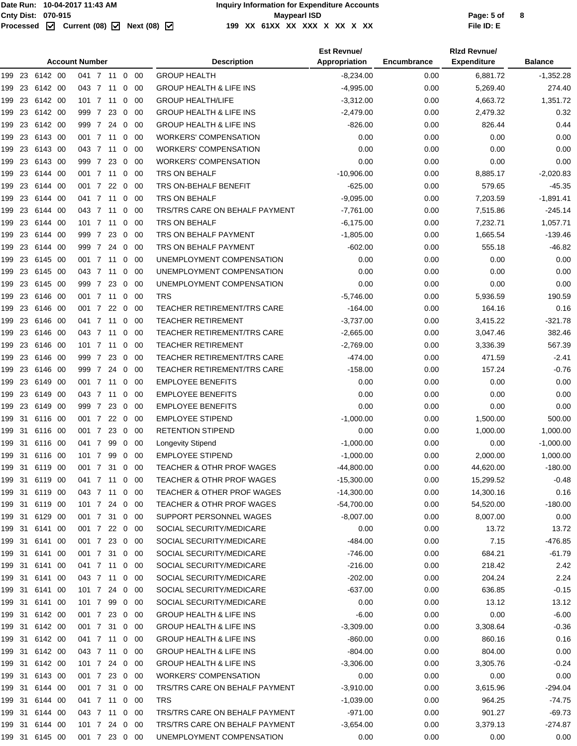|        |        |                |      | <b>Account Number</b> |         |                |             | <b>Description</b>                   | <b>Est Revnue/</b><br>Appropriation | Encumbrance | <b>Rizd Revnue/</b><br><b>Expenditure</b> | <b>Balance</b> |
|--------|--------|----------------|------|-----------------------|---------|----------------|-------------|--------------------------------------|-------------------------------------|-------------|-------------------------------------------|----------------|
|        |        | 199 23 6142 00 |      | 041 7 11 0 00         |         |                |             | <b>GROUP HEALTH</b>                  | $-8,234.00$                         | 0.00        | 6,881.72                                  | $-1,352.28$    |
| 199    | 23     | 6142 00        |      | 043 7 11              |         | $\mathbf{0}$   | 00          | <b>GROUP HEALTH &amp; LIFE INS</b>   | $-4,995.00$                         | 0.00        | 5,269.40                                  | 274.40         |
| 199    | 23     | 6142 00        |      | 101 7 11              |         | $\mathbf 0$    | -00         | <b>GROUP HEALTH/LIFE</b>             | $-3,312.00$                         | 0.00        | 4,663.72                                  | 1,351.72       |
| 199    | 23     | 6142 00        |      | 999 7                 | 23      | $\overline{0}$ | -00         | <b>GROUP HEALTH &amp; LIFE INS</b>   | $-2,479.00$                         | 0.00        | 2,479.32                                  | 0.32           |
| 199    | 23     | 6142 00        |      | 999 7                 | 24      | $\mathbf 0$    | 00          | <b>GROUP HEALTH &amp; LIFE INS</b>   | $-826.00$                           | 0.00        | 826.44                                    | 0.44           |
| 199    | 23     | 6143 00        |      | 001 7 11              |         | $\mathbf 0$    | 00          | <b>WORKERS' COMPENSATION</b>         | 0.00                                | 0.00        | 0.00                                      | 0.00           |
| 199    | 23     | 6143 00        |      | 043 7 11              |         | 0              | 00          | <b>WORKERS' COMPENSATION</b>         | 0.00                                | 0.00        | 0.00                                      | 0.00           |
| 199    | 23     | 6143 00        |      | 999 7                 | 23      | $\mathbf 0$    | 00          | <b>WORKERS' COMPENSATION</b>         | 0.00                                | 0.00        | 0.00                                      | 0.00           |
| 199    | 23     | 6144 00        |      | 001 7 11              |         | $\mathbf{0}$   | 00          | TRS ON BEHALF                        | $-10,906.00$                        | 0.00        | 8,885.17                                  | $-2,020.83$    |
| 199    | -23    | 6144 00        |      | 001 7                 | 22 0    |                | - 00        | TRS ON-BEHALF BENEFIT                | $-625.00$                           | 0.00        | 579.65                                    | $-45.35$       |
| 199    | 23     | 6144 00        |      | 041 7 11              |         | $\overline{0}$ | -00         | TRS ON BEHALF                        | $-9,095.00$                         | 0.00        | 7,203.59                                  | $-1,891.41$    |
| 199 23 |        | 6144 00        |      | 043 7 11              |         |                | $0\quad 00$ | TRS/TRS CARE ON BEHALF PAYMENT       | $-7,761.00$                         | 0.00        | 7,515.86                                  | $-245.14$      |
| 199 23 |        | 6144 00        |      | 101 7 11 0 00         |         |                |             | TRS ON BEHALF                        | $-6,175.00$                         | 0.00        | 7,232.71                                  | 1,057.71       |
| 199    | 23     | 6144 00        |      | 999 7                 | 23      | $\mathbf 0$    | 00          | TRS ON BEHALF PAYMENT                | $-1,805.00$                         | 0.00        | 1,665.54                                  | $-139.46$      |
| 199    | 23     | 6144 00        |      | 999 7                 | 24      | $\overline{0}$ | 00          | TRS ON BEHALF PAYMENT                | $-602.00$                           | 0.00        | 555.18                                    | -46.82         |
| 199    | -23    | 6145 00        |      | 001 7 11              |         | $\mathbf{0}$   | - 00        | UNEMPLOYMENT COMPENSATION            | 0.00                                | 0.00        | 0.00                                      | 0.00           |
| 199    | 23     | 6145 00        |      | 043 7                 | 11      | $\mathbf 0$    | -00         | UNEMPLOYMENT COMPENSATION            | 0.00                                | 0.00        | 0.00                                      | 0.00           |
| 199    | 23     | 6145 00        |      | 999 7                 | 23      | $\mathbf 0$    | - 00        | UNEMPLOYMENT COMPENSATION            | 0.00                                | 0.00        | 0.00                                      | 0.00           |
| 199    | 23     | 6146 00        |      | 001 7 11              |         |                | $0\quad 00$ | <b>TRS</b>                           | $-5,746.00$                         | 0.00        | 5,936.59                                  | 190.59         |
| 199    | 23     | 6146 00        |      | 001 7                 | 22      | $\mathbf 0$    | 00          | TEACHER RETIREMENT/TRS CARE          | $-164.00$                           | 0.00        | 164.16                                    | 0.16           |
| 199    | 23     | 6146 00        |      | 041 7 11              |         | $\mathbf{0}$   | 00          | <b>TEACHER RETIREMENT</b>            | $-3,737.00$                         | 0.00        | 3,415.22                                  | $-321.78$      |
| 199    | 23     | 6146 00        |      | 043 7                 | 11      | 0              | 00          | <b>TEACHER RETIREMENT/TRS CARE</b>   | $-2,665.00$                         | 0.00        | 3,047.46                                  | 382.46         |
| 199    | 23     | 6146 00        |      | 101 7 11              |         | 0              | 00          | <b>TEACHER RETIREMENT</b>            | $-2,769.00$                         | 0.00        | 3,336.39                                  | 567.39         |
| 199 23 |        | 6146 00        |      | 999 7 23              |         | $\mathbf 0$    | -00         | <b>TEACHER RETIREMENT/TRS CARE</b>   | $-474.00$                           | 0.00        | 471.59                                    | $-2.41$        |
| 199 23 |        | 6146 00        |      | 999 7 24 0            |         |                | 00          | <b>TEACHER RETIREMENT/TRS CARE</b>   | $-158.00$                           | 0.00        | 157.24                                    | $-0.76$        |
| 199    | 23     | 6149 00        |      | 001 7 11              |         | $\mathbf 0$    | 00          | <b>EMPLOYEE BENEFITS</b>             | 0.00                                | 0.00        | 0.00                                      | 0.00           |
| 199    | 23     | 6149           | - 00 | 043 7 11              |         | $\mathbf 0$    | 00          | <b>EMPLOYEE BENEFITS</b>             | 0.00                                | 0.00        | 0.00                                      | 0.00           |
| 199 23 |        | 6149 00        |      | 999 7                 | 23 0 00 |                |             | <b>EMPLOYEE BENEFITS</b>             | 0.00                                | 0.00        | 0.00                                      | 0.00           |
| 199    | 31     | 6116 00        |      | 001 7                 | 22      | $\overline{0}$ | -00         | <b>EMPLOYEE STIPEND</b>              | $-1,000.00$                         | 0.00        | 1,500.00                                  | 500.00         |
| 199    | 31     | 6116 00        |      | 001 7                 | 23      | $\overline{0}$ | - 00        | <b>RETENTION STIPEND</b>             | 0.00                                | 0.00        | 1,000.00                                  | 1,000.00       |
| 199 31 |        | 6116 00        |      | 041 7 99              |         |                | $0\quad 00$ | <b>Longevity Stipend</b>             | $-1,000.00$                         | 0.00        | 0.00                                      | $-1,000.00$    |
|        | 199 31 | 6116 00        |      | 101 7 99              |         |                | $0\quad 00$ | <b>EMPLOYEE STIPEND</b>              | $-1,000.00$                         | 0.00        | 2.000.00                                  | 1,000.00       |
|        |        | 199 31 6119 00 |      | 001 7 31 0 00         |         |                |             | TEACHER & OTHR PROF WAGES            | $-44,800.00$                        | 0.00        | 44,620.00                                 | $-180.00$      |
|        |        | 199 31 6119 00 |      | 041 7 11 0 00         |         |                |             | <b>TEACHER &amp; OTHR PROF WAGES</b> | $-15,300.00$                        | 0.00        | 15,299.52                                 | $-0.48$        |
| 199 31 |        | 6119 00        |      | 043 7 11 0 00         |         |                |             | TEACHER & OTHER PROF WAGES           | $-14,300.00$                        | 0.00        | 14,300.16                                 | 0.16           |
|        |        | 199 31 6119 00 |      | 101 7 24 0 00         |         |                |             | <b>TEACHER &amp; OTHR PROF WAGES</b> | -54,700.00                          | 0.00        | 54,520.00                                 | $-180.00$      |
| 199 31 |        | 6129 00        |      | 001 7 31 0 00         |         |                |             | SUPPORT PERSONNEL WAGES              | $-8,007.00$                         | 0.00        | 8,007.00                                  | 0.00           |
| 199 31 |        | 6141 00        |      | 001 7 22 0 00         |         |                |             | SOCIAL SECURITY/MEDICARE             | 0.00                                | 0.00        | 13.72                                     | 13.72          |
|        |        | 199 31 6141 00 |      | 001 7 23 0 00         |         |                |             | SOCIAL SECURITY/MEDICARE             | -484.00                             | 0.00        | 7.15                                      | $-476.85$      |
|        |        | 199 31 6141 00 |      | 001 7 31 0 00         |         |                |             | SOCIAL SECURITY/MEDICARE             | -746.00                             | 0.00        | 684.21                                    | $-61.79$       |
| 199 31 |        | 6141 00        |      | 041 7 11 0 00         |         |                |             | SOCIAL SECURITY/MEDICARE             | $-216.00$                           | 0.00        | 218.42                                    | 2.42           |
|        |        | 199 31 6141 00 |      | 043 7 11 0 00         |         |                |             | SOCIAL SECURITY/MEDICARE             | $-202.00$                           | 0.00        | 204.24                                    | 2.24           |
|        |        | 199 31 6141 00 |      | 101 7 24 0 00         |         |                |             | SOCIAL SECURITY/MEDICARE             | $-637.00$                           | 0.00        | 636.85                                    | $-0.15$        |
| 199 31 |        | 6141 00        |      | 101 7 99              |         |                | $0\quad 00$ | SOCIAL SECURITY/MEDICARE             | 0.00                                | 0.00        | 13.12                                     | 13.12          |
|        | 199 31 | 6142 00        |      | 001 7 23 0 00         |         |                |             | <b>GROUP HEALTH &amp; LIFE INS</b>   | $-6.00$                             | 0.00        | 0.00                                      | $-6.00$        |
|        | 199 31 | 6142 00        |      | 001 7 31 0 00         |         |                |             | <b>GROUP HEALTH &amp; LIFE INS</b>   | $-3,309.00$                         | 0.00        | 3,308.64                                  | $-0.36$        |
| 199 31 |        | 6142 00        |      | 041 7 11 0 00         |         |                |             | <b>GROUP HEALTH &amp; LIFE INS</b>   | -860.00                             | 0.00        | 860.16                                    | 0.16           |
| 199 31 |        | 6142 00        |      | 043 7 11 0 00         |         |                |             | <b>GROUP HEALTH &amp; LIFE INS</b>   | $-804.00$                           | 0.00        | 804.00                                    | 0.00           |
| 199 31 |        | 6142 00        |      | 101 7 24 0 00         |         |                |             | <b>GROUP HEALTH &amp; LIFE INS</b>   | $-3,306.00$                         | 0.00        | 3,305.76                                  | $-0.24$        |
| 199 31 |        | 6143 00        |      | 001 7 23 0 00         |         |                |             | <b>WORKERS' COMPENSATION</b>         | 0.00                                | 0.00        | 0.00                                      | 0.00           |
|        | 199 31 | 6144 00        |      | 001 7 31 0 00         |         |                |             | TRS/TRS CARE ON BEHALF PAYMENT       | $-3,910.00$                         | 0.00        | 3,615.96                                  | $-294.04$      |
|        | 199 31 | 6144 00        |      | 041 7 11 0 00         |         |                |             | <b>TRS</b>                           | $-1,039.00$                         | 0.00        | 964.25                                    | $-74.75$       |
| 199 31 |        | 6144 00        |      | 043 7 11 0 00         |         |                |             | TRS/TRS CARE ON BEHALF PAYMENT       | $-971.00$                           | 0.00        | 901.27                                    | $-69.73$       |
| 199 31 |        | 6144 00        |      | 101 7 24 0 00         |         |                |             | TRS/TRS CARE ON BEHALF PAYMENT       | $-3,654.00$                         | 0.00        | 3,379.13                                  | $-274.87$      |
|        |        | 199 31 6145 00 |      | 001 7 23 0 00         |         |                |             | UNEMPLOYMENT COMPENSATION            | 0.00                                | 0.00        | 0.00                                      | 0.00           |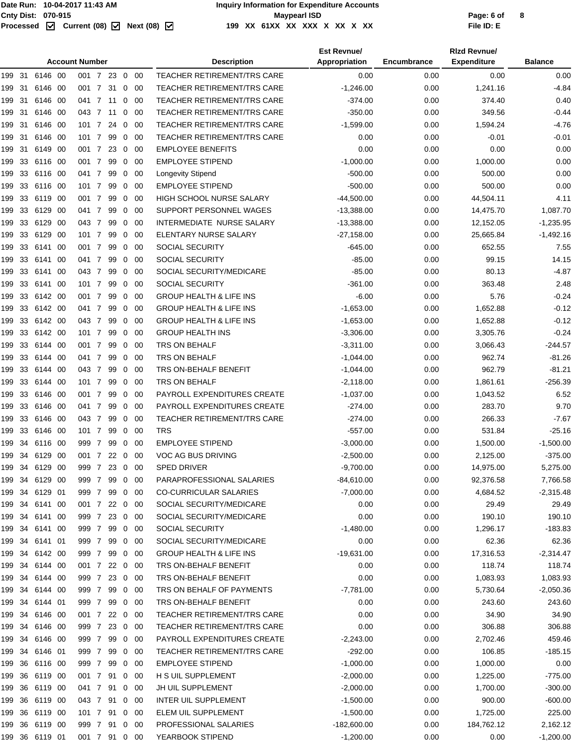| <b>Account Number</b>                                    |             | <b>Description</b>                 | <b>Est Revnue/</b><br>Appropriation | Encumbrance | <b>Rizd Revnue/</b><br><b>Expenditure</b> | <b>Balance</b> |
|----------------------------------------------------------|-------------|------------------------------------|-------------------------------------|-------------|-------------------------------------------|----------------|
| 199 31<br>6146 00<br>001 7 23 0 00                       |             | <b>TEACHER RETIREMENT/TRS CARE</b> | 0.00                                | 0.00        | 0.00                                      | 0.00           |
| 001 7 31 0<br>199 31<br>6146 00                          | - 00        | <b>TEACHER RETIREMENT/TRS CARE</b> | $-1,246.00$                         | 0.00        | 1,241.16                                  | $-4.84$        |
| 31<br>6146 00<br>041 7 11 0 00<br>199                    |             | TEACHER RETIREMENT/TRS CARE        | $-374.00$                           | 0.00        | 374.40                                    | 0.40           |
| -31<br>043 7<br>199<br>6146 00<br>11<br>0                | -00         | <b>TEACHER RETIREMENT/TRS CARE</b> | $-350.00$                           | 0.00        | 349.56                                    | $-0.44$        |
| -31<br>6146 00<br>101 7<br>24<br>199  <br>$\overline{0}$ | -00         | <b>TEACHER RETIREMENT/TRS CARE</b> | $-1,599.00$                         | 0.00        | 1,594.24                                  | $-4.76$        |
| -31<br>6146 00<br>99<br>$\overline{0}$<br>101 7<br>199   | - 00        | <b>TEACHER RETIREMENT/TRS CARE</b> | 0.00                                | 0.00        | $-0.01$                                   | $-0.01$        |
| 31<br>23<br>199<br>6149 00<br>001 7<br>$\overline{0}$    | - 00        | <b>EMPLOYEE BENEFITS</b>           | 0.00                                | 0.00        | 0.00                                      | 0.00           |
| 33<br>001 7<br>99<br>199<br>6116 00<br>$\mathbf 0$       | - 00        | <b>EMPLOYEE STIPEND</b>            | $-1,000.00$                         | 0.00        | 1,000.00                                  | 0.00           |
| 33<br>6116 00<br>041 7<br>99<br>199<br>$\mathbf 0$       | - 00        | <b>Longevity Stipend</b>           | $-500.00$                           | 0.00        | 500.00                                    | 0.00           |
| 33<br>6116 00<br>101 7<br>199<br>99<br>$\mathbf 0$       | -00         | <b>EMPLOYEE STIPEND</b>            | $-500.00$                           | 0.00        | 500.00                                    | 0.00           |
| 33<br>6119 00<br>001 7<br>99<br>0<br>199.                | -00         | HIGH SCHOOL NURSE SALARY           | $-44,500.00$                        | 0.00        | 44,504.11                                 | 4.11           |
| 33<br>6129 00<br>041 7<br>99<br>199<br>$\mathbf 0$       | - 00        | SUPPORT PERSONNEL WAGES            | $-13,388.00$                        | 0.00        |                                           | 1,087.70       |
| 33<br>6129 00<br>043 7<br>99<br>$\mathbf 0$<br>199       | -00         | INTERMEDIATE NURSE SALARY          | $-13,388.00$                        | 0.00        | 14,475.70                                 | $-1,235.95$    |
|                                                          |             |                                    |                                     |             | 12,152.05                                 |                |
| 33<br>$101 \t 7$<br>99<br>199<br>6129 00<br>$\mathbf 0$  | -00         | ELENTARY NURSE SALARY              | $-27,158.00$                        | 0.00        | 25,665.84                                 | $-1,492.16$    |
| 33<br>6141 00<br>001 7<br>99<br>199<br>$\mathbf 0$       | - 00        | <b>SOCIAL SECURITY</b>             | $-645.00$                           | 0.00        | 652.55                                    | 7.55           |
| 33<br>041 7<br>199<br>6141 00<br>99<br>$\mathbf 0$       | -00         | <b>SOCIAL SECURITY</b>             | $-85.00$                            | 0.00        | 99.15                                     | 14.15          |
| 33<br>6141 00<br>043 7<br>99<br>$\mathbf 0$<br>199.      | -00         | SOCIAL SECURITY/MEDICARE           | $-85.00$                            | 0.00        | 80.13                                     | $-4.87$        |
| 33<br>99<br>$\overline{0}$<br>6141 00<br>101 7<br>199    | - 00        | <b>SOCIAL SECURITY</b>             | $-361.00$                           | 0.00        | 363.48                                    | 2.48           |
| 33<br>99<br>$\mathbf 0$<br>199<br>6142 00<br>001 7       | - 00        | <b>GROUP HEALTH &amp; LIFE INS</b> | $-6.00$                             | 0.00        | 5.76                                      | $-0.24$        |
| 33<br>041 7<br>199<br>6142 00<br>99<br>$\mathbf 0$       | - 00        | <b>GROUP HEALTH &amp; LIFE INS</b> | $-1,653.00$                         | 0.00        | 1,652.88                                  | $-0.12$        |
| 33 6142 00<br>043 7<br>99<br>199<br>$\mathbf{0}$         | - 00        | <b>GROUP HEALTH &amp; LIFE INS</b> | $-1,653.00$                         | 0.00        | 1,652.88                                  | $-0.12$        |
| 33<br>6142 00<br>101 7<br>199<br>99<br>$\mathbf 0$       | -00         | <b>GROUP HEALTH INS</b>            | $-3,306.00$                         | 0.00        | 3,305.76                                  | $-0.24$        |
| 33<br>6144 00<br>001 7<br>99<br>$\mathbf 0$<br>199.      | -00         | TRS ON BEHALF                      | $-3,311.00$                         | 0.00        | 3,066.43                                  | $-244.57$      |
| 33<br>6144 00<br>041 7<br>99<br>$\mathbf 0$<br>199.      | - 00        | TRS ON BEHALF                      | $-1,044.00$                         | 0.00        | 962.74                                    | $-81.26$       |
| 33<br>043 7<br>99<br>$\mathbf 0$<br>199<br>6144 00       | -00         | TRS ON-BEHALF BENEFIT              | $-1,044.00$                         | 0.00        | 962.79                                    | $-81.21$       |
| 33<br>101 7<br>99<br>199<br>6144 00<br>$\mathbf 0$       | -00         | TRS ON BEHALF                      | $-2,118.00$                         | 0.00        | 1,861.61                                  | $-256.39$      |
| 33<br>6146 00<br>001 7<br>99<br>199<br>$\mathbf 0$       | - 00        | PAYROLL EXPENDITURES CREATE        | $-1,037.00$                         | 0.00        | 1,043.52                                  | 6.52           |
| 33<br>6146 00<br>041 7<br>99<br>199<br>$\mathbf 0$       | -00         | PAYROLL EXPENDITURES CREATE        | $-274.00$                           | 0.00        | 283.70                                    | 9.70           |
| 33<br>6146 00<br>043 7<br>99<br>$\mathbf 0$<br>199.      | -00         | <b>TEACHER RETIREMENT/TRS CARE</b> | $-274.00$                           | 0.00        | 266.33                                    | $-7.67$        |
| 33<br>6146 00<br>$101 \t 7$<br>99<br>$\mathbf 0$<br>199  | - 00        | <b>TRS</b>                         | $-557.00$                           | 0.00        | 531.84                                    | $-25.16$       |
| 34<br>99<br>199<br>6116 00<br>999 7<br>$\mathbf 0$       | -00         | <b>EMPLOYEE STIPEND</b>            | $-3,000.00$                         | 0.00        | 1,500.00                                  | $-1,500.00$    |
| 199 34<br>001 7 22 0 00<br>6129 00                       |             | VOC AG BUS DRIVING                 | $-2,500.00$                         | 0.00        | 2,125.00                                  | $-375.00$      |
| 34 6129 00<br>999 7<br>23 0 00<br>199                    |             | SPED DRIVER                        | $-9,700.00$                         | 0.00        | 14,975.00                                 | 5,275.00       |
| 199 34 6129 00<br>999 7 99 0 00                          |             | PARAPROFESSIONAL SALARIES          | $-84,610.00$                        | 0.00        | 92,376.58                                 | 7,766.58       |
| 199 34 6129 01<br>999 7 99 0 00                          |             | <b>CO-CURRICULAR SALARIES</b>      | $-7,000.00$                         | 0.00        | 4,684.52                                  | $-2,315.48$    |
| 199 34 6141 00                                           |             | SOCIAL SECURITY/MEDICARE           |                                     |             |                                           |                |
| 22 0 00<br>001 7                                         |             |                                    | 0.00                                | 0.00        | 29.49                                     | 29.49          |
| 199 34<br>6141 00<br>999 7 23 0 00                       |             | SOCIAL SECURITY/MEDICARE           | 0.00                                | 0.00        | 190.10                                    | 190.10         |
| 199 34<br>6141 00<br>999 7 99                            | $0\quad 00$ | SOCIAL SECURITY                    | $-1,480.00$                         | 0.00        | 1,296.17                                  | $-183.83$      |
| 199 34 6141 01<br>999 7 99 0 00                          |             | SOCIAL SECURITY/MEDICARE           | 0.00                                | 0.00        | 62.36                                     | 62.36          |
| 199 34<br>6142 00<br>999 7<br>99                         | 0 00        | <b>GROUP HEALTH &amp; LIFE INS</b> | $-19,631.00$                        | 0.00        | 17,316.53                                 | $-2,314.47$    |
| 34<br>199<br>6144 00<br>001 7<br>22 0                    | - 00        | TRS ON-BEHALF BENEFIT              | 0.00                                | 0.00        | 118.74                                    | 118.74         |
| 199 34 6144 00<br>999 7 23 0 00                          |             | TRS ON-BEHALF BENEFIT              | 0.00                                | 0.00        | 1,083.93                                  | 1,083.93       |
| 199 34<br>6144 00<br>99<br>999 7                         | $0\quad 00$ | TRS ON BEHALF OF PAYMENTS          | $-7,781.00$                         | 0.00        | 5,730.64                                  | $-2,050.36$    |
| 199 34<br>6144 01<br>999 7 99                            | $0\quad 00$ | TRS ON-BEHALF BENEFIT              | 0.00                                | 0.00        | 243.60                                    | 243.60         |
| 199 34 6146 00<br>001 7 22 0 00                          |             | <b>TEACHER RETIREMENT/TRS CARE</b> | 0.00                                | 0.00        | 34.90                                     | 34.90          |
| 199 34 6146 00<br>999 7 23 0 00                          |             | <b>TEACHER RETIREMENT/TRS CARE</b> | 0.00                                | 0.00        | 306.88                                    | 306.88         |
| 199 34 6146 00<br>999 7 99 0 00                          |             | PAYROLL EXPENDITURES CREATE        | $-2,243.00$                         | 0.00        | 2,702.46                                  | 459.46         |
| 199 34 6146 01<br>999 7 99 0 00                          |             | TEACHER RETIREMENT/TRS CARE        | $-292.00$                           | 0.00        | 106.85                                    | -185.15        |
| 199 36<br>6116 00<br>999 7 99 0 00                       |             | <b>EMPLOYEE STIPEND</b>            | $-1,000.00$                         | 0.00        | 1,000.00                                  | 0.00           |
| 199 36<br>6119 00<br>001 7 91 0 00                       |             | H S UIL SUPPLEMENT                 | $-2,000.00$                         | 0.00        | 1,225.00                                  | $-775.00$      |
| 199 36 6119 00<br>041 7 91 0 00                          |             | JH UIL SUPPLEMENT                  | $-2,000.00$                         | 0.00        | 1,700.00                                  | $-300.00$      |
| 199 36<br>6119 00<br>043 7 91 0 00                       |             | <b>INTER UIL SUPPLEMENT</b>        | $-1,500.00$                         | 0.00        | 900.00                                    | $-600.00$      |
| 36<br>6119 00<br>199<br>101 7 91 0                       | - 00        | ELEM UIL SUPPLEMENT                | $-1,500.00$                         | 0.00        | 1,725.00                                  | 225.00         |
| 199 36 6119 00<br>999 7 91 0 00                          |             | PROFESSIONAL SALARIES              | $-182,600.00$                       | 0.00        | 184,762.12                                | 2,162.12       |
| 199 36 6119 01<br>001 7 91 0 00                          |             | YEARBOOK STIPEND                   | $-1,200.00$                         | 0.00        | 0.00                                      | $-1,200.00$    |
|                                                          |             |                                    |                                     |             |                                           |                |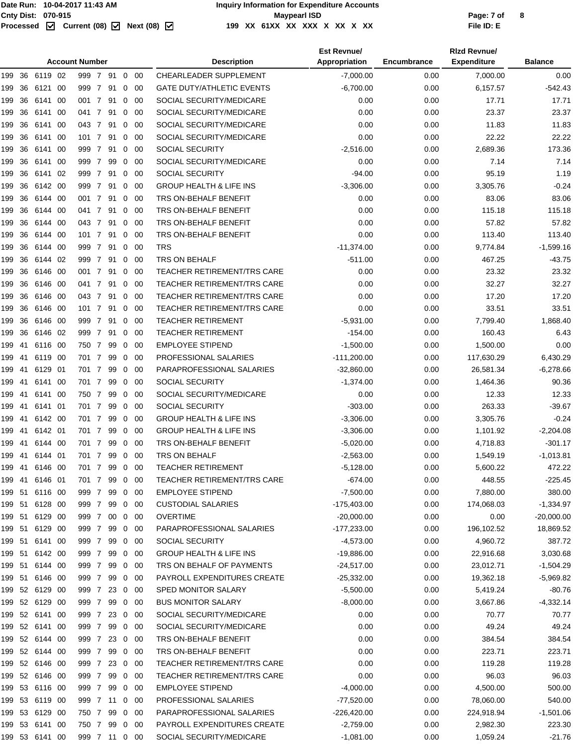|                |         |      | <b>Account Number</b> |     |                |             | <b>Description</b>                 | <b>Est Revnue/</b><br>Appropriation | Encumbrance | <b>Rizd Revnue/</b><br><b>Expenditure</b> | <b>Balance</b> |
|----------------|---------|------|-----------------------|-----|----------------|-------------|------------------------------------|-------------------------------------|-------------|-------------------------------------------|----------------|
| 199<br>36      | 6119 02 |      | 999 7 91              |     |                | $0\quad 00$ | CHEARLEADER SUPPLEMENT             | $-7,000.00$                         | 0.00        | 7,000.00                                  | 0.00           |
| 36<br>199      | 6121 00 |      | 999 7 91              |     | $\mathbf 0$    | -00         | <b>GATE DUTY/ATHLETIC EVENTS</b>   | $-6,700.00$                         | 0.00        | 6,157.57                                  | $-542.43$      |
| 36<br>199      | 6141    | 00   | 001 7                 | 91  | 0              | 00          | SOCIAL SECURITY/MEDICARE           | 0.00                                | 0.00        | 17.71                                     | 17.71          |
| 199<br>36      | 6141 00 |      | 041 7                 | 91  | 0              | 00          | SOCIAL SECURITY/MEDICARE           | 0.00                                | 0.00        | 23.37                                     | 23.37          |
| 199<br>36      | 6141 00 |      | 043 7                 | 91  | $\mathbf 0$    | -00         | SOCIAL SECURITY/MEDICARE           | 0.00                                | 0.00        | 11.83                                     | 11.83          |
| 36<br>199      | 6141    | - 00 | 101 7                 | 91  | $\mathbf 0$    | -00         | SOCIAL SECURITY/MEDICARE           | 0.00                                | 0.00        | 22.22                                     | 22.22          |
| 199<br>36      | 6141 00 |      | 999 7                 | 91  | $\mathbf 0$    | -00         | <b>SOCIAL SECURITY</b>             | $-2,516.00$                         | 0.00        | 2,689.36                                  | 173.36         |
| 36<br>199      | 6141 00 |      | 999 7 99              |     | $\mathbf 0$    | -00         | SOCIAL SECURITY/MEDICARE           | 0.00                                | 0.00        | 7.14                                      | 7.14           |
| 36<br>199      | 6141    | -02  | 999 7 91              |     | $\mathbf 0$    | -00         | <b>SOCIAL SECURITY</b>             | $-94.00$                            | 0.00        | 95.19                                     | 1.19           |
| 36<br>199      | 6142 00 |      | 999 7 91              |     | 0              | -00         | <b>GROUP HEALTH &amp; LIFE INS</b> | $-3,306.00$                         | 0.00        | 3,305.76                                  | $-0.24$        |
| 199<br>36      | 6144 00 |      | 001 7                 | 91  | $\overline{0}$ | -00         | TRS ON-BEHALF BENEFIT              | 0.00                                | 0.00        | 83.06                                     | 83.06          |
| 36<br>199      | 6144    | - 00 | 041 7                 | 91  | 0              | -00         | TRS ON-BEHALF BENEFIT              | 0.00                                | 0.00        | 115.18                                    | 115.18         |
| 199<br>36      | 6144 00 |      | 043 7                 | 91  | $\mathbf 0$    | -00         | TRS ON-BEHALF BENEFIT              | 0.00                                | 0.00        | 57.82                                     | 57.82          |
| 36<br>199      | 6144 00 |      | 101 7                 | 91  | $\overline{0}$ | -00         | TRS ON-BEHALF BENEFIT              | 0.00                                | 0.00        | 113.40                                    | 113.40         |
| 36<br>199      | 6144    | - 00 | 999 7                 | 91  | $\mathbf 0$    | -00         | <b>TRS</b>                         | $-11,374.00$                        | 0.00        | 9,774.84                                  | $-1,599.16$    |
| 199<br>36      | 6144 02 |      | 999 7                 | 91  | 0              | -00         | TRS ON BEHALF                      | $-511.00$                           | 0.00        | 467.25                                    | $-43.75$       |
| 36<br>199      | 6146 00 |      | 001 7                 | 91  | $\mathbf 0$    | -00         | TEACHER RETIREMENT/TRS CARE        | 0.00                                | 0.00        | 23.32                                     | 23.32          |
| 36<br>199      | 6146 00 |      | 041 7                 | 91  | $\mathbf 0$    | -00         | <b>TEACHER RETIREMENT/TRS CARE</b> | 0.00                                | 0.00        | 32.27                                     | 32.27          |
| 199<br>36      | 6146 00 |      | 043 7                 | 91  | $\mathbf 0$    | -00         | <b>TEACHER RETIREMENT/TRS CARE</b> | 0.00                                | 0.00        | 17.20                                     | 17.20          |
| 36<br>199      | 6146 00 |      | 101 7 91              |     | $\overline{0}$ | -00         | <b>TEACHER RETIREMENT/TRS CARE</b> | 0.00                                | 0.00        | 33.51                                     | 33.51          |
| 36<br>199      | 6146 00 |      | 999 7                 | -91 | $\mathbf 0$    | -00         | <b>TEACHER RETIREMENT</b>          | $-5,931.00$                         | 0.00        | 7,799.40                                  | 1,868.40       |
| 36<br>199      | 6146 02 |      | 999 7 91              |     | $\mathbf 0$    | -00         | <b>TEACHER RETIREMENT</b>          | $-154.00$                           | 0.00        | 160.43                                    | 6.43           |
| 199<br>41      | 6116 00 |      | 750 7                 | 99  | $\mathbf 0$    | -00         | <b>EMPLOYEE STIPEND</b>            | $-1,500.00$                         | 0.00        | 1,500.00                                  | 0.00           |
| 41<br>199      | 6119 00 |      | 701 7                 | 99  | $\overline{0}$ | -00         | PROFESSIONAL SALARIES              | $-111,200.00$                       | 0.00        | 117,630.29                                | 6,430.29       |
| 199<br>-41     | 6129 01 |      | 701 7                 | 99  | $\mathbf 0$    | -00         | PARAPROFESSIONAL SALARIES          | $-32,860.00$                        | 0.00        | 26,581.34                                 | $-6,278.66$    |
| 199<br>41      | 6141 00 |      | 701 7                 | 99  | $\mathbf 0$    | -00         | <b>SOCIAL SECURITY</b>             | $-1,374.00$                         | 0.00        | 1,464.36                                  | 90.36          |
| 41<br>199      | 6141    | - 00 | 750 7                 | 99  | $\mathbf 0$    | -00         | SOCIAL SECURITY/MEDICARE           | 0.00                                | 0.00        | 12.33                                     | 12.33          |
| 199<br>41      | 6141 01 |      | 701 7                 | 99  | $\mathbf 0$    | -00         | <b>SOCIAL SECURITY</b>             | $-303.00$                           | 0.00        | 263.33                                    | $-39.67$       |
| 199<br>41      | 6142 00 |      | 701 7                 | 99  | $\mathbf{0}$   | -00         | <b>GROUP HEALTH &amp; LIFE INS</b> | $-3,306.00$                         | 0.00        | 3,305.76                                  | $-0.24$        |
| 41<br>199      | 6142 01 |      | 701 7                 | 99  | $\mathbf{0}$   | -00         | <b>GROUP HEALTH &amp; LIFE INS</b> | $-3,306.00$                         | 0.00        | 1,101.92                                  | $-2,204.08$    |
| 199<br>-41     | 6144 00 |      | 701 7                 | 99  | $\mathbf 0$    | -00         | TRS ON-BEHALF BENEFIT              | $-5,020.00$                         | 0.00        | 4,718.83                                  | $-301.17$      |
| 199 41         | 6144 01 |      | 701 7 99              |     |                | $0\quad 00$ | TRS ON BEHALF                      | $-2,563.00$                         | 0.00        | 1,549.19                                  | $-1,013.81$    |
| 199 41         | 6146 00 |      | 701 7 99 0 00         |     |                |             | TEACHER RETIREMENT                 | $-5,128.00$                         | 0.00        | 5,600.22                                  | 472.22         |
| 199 41         | 6146 01 |      | 701 7 99              |     |                | $0\quad 00$ | TEACHER RETIREMENT/TRS CARE        | $-674.00$                           | 0.00        | 448.55                                    | $-225.45$      |
| 199 51         | 6116 00 |      | 999 7 99 0 00         |     |                |             | <b>EMPLOYEE STIPEND</b>            | $-7,500.00$                         | 0.00        | 7,880.00                                  | 380.00         |
| 199 51         | 6128 00 |      | 999 7 99              |     |                | 0 00        | <b>CUSTODIAL SALARIES</b>          | $-175,403.00$                       | 0.00        | 174,068.03                                | $-1,334.97$    |
| 199 51         | 6129 00 |      | 999 7 00 0 00         |     |                |             | <b>OVERTIME</b>                    | $-20,000.00$                        | 0.00        | 0.00                                      | $-20,000.00$   |
| 199 51         | 6129 00 |      | 999 7 99 0 00         |     |                |             | PARAPROFESSIONAL SALARIES          | -177,233.00                         | 0.00        | 196,102.52                                | 18,869.52      |
| 199 51         | 6141 00 |      | 999 7 99              |     | $\mathbf 0$    | -00         | SOCIAL SECURITY                    | $-4,573.00$                         | 0.00        | 4,960.72                                  | 387.72         |
| 199 51         | 6142 00 |      | 999 7 99              |     |                | $0\quad 00$ | <b>GROUP HEALTH &amp; LIFE INS</b> | $-19,886.00$                        | 0.00        | 22,916.68                                 | 3,030.68       |
| 199 51         | 6144 00 |      | 999 7 99              |     | 0 00           |             | TRS ON BEHALF OF PAYMENTS          | $-24,517.00$                        | 0.00        | 23,012.71                                 | $-1,504.29$    |
| 199 51         | 6146 00 |      | 999 7 99              |     |                | $0\quad 00$ | PAYROLL EXPENDITURES CREATE        | $-25,332.00$                        | 0.00        | 19,362.18                                 | $-5,969.82$    |
| 199 52 6129 00 |         |      | 999 7 23 0 00         |     |                |             | SPED MONITOR SALARY                | $-5,500.00$                         | 0.00        | 5,419.24                                  | -80.76         |
| 199 52 6129 00 |         |      | 999 7 99              |     |                | 0 00        | <b>BUS MONITOR SALARY</b>          | $-8,000.00$                         | 0.00        | 3,667.86                                  | $-4,332.14$    |
| 199 52 6141 00 |         |      | 999 7 23              |     | 0 00           |             | SOCIAL SECURITY/MEDICARE           | 0.00                                | 0.00        | 70.77                                     | 70.77          |
| 199 52 6141 00 |         |      | 999 7 99              |     |                | 0 00        | SOCIAL SECURITY/MEDICARE           | 0.00                                | 0.00        | 49.24                                     | 49.24          |
| 199 52 6144 00 |         |      | 999 7 23 0 00         |     |                |             | TRS ON-BEHALF BENEFIT              | 0.00                                | 0.00        | 384.54                                    | 384.54         |
| 199 52         | 6144 00 |      | 999 7 99              |     |                | 0 00        | TRS ON-BEHALF BENEFIT              | 0.00                                | 0.00        | 223.71                                    | 223.71         |
| 199 52 6146 00 |         |      | 999 7 23 0 00         |     |                |             | TEACHER RETIREMENT/TRS CARE        | 0.00                                | 0.00        | 119.28                                    | 119.28         |
| 199 52 6146 00 |         |      | 999 7 99 0 00         |     |                |             | TEACHER RETIREMENT/TRS CARE        | 0.00                                | 0.00        | 96.03                                     | 96.03          |
| 199 53         | 6116 00 |      | 999 7 99              |     |                | $0\quad 00$ | <b>EMPLOYEE STIPEND</b>            | $-4,000.00$                         | 0.00        | 4,500.00                                  | 500.00         |
| 199 53         | 6119 00 |      | 999 7 11 0 00         |     |                |             | PROFESSIONAL SALARIES              | -77,520.00                          | 0.00        | 78,060.00                                 | 540.00         |
| 199 53 6129 00 |         |      | 750 7 99 0 00         |     |                |             | PARAPROFESSIONAL SALARIES          | $-226,420.00$                       | 0.00        | 224,918.94                                | $-1,501.06$    |
| 199 53         | 6141 00 |      | 750 7 99              |     |                | 0 00        | PAYROLL EXPENDITURES CREATE        | $-2,759.00$                         | 0.00        | 2,982.30                                  | 223.30         |
| 199 53 6141 00 |         |      | 999 7 11 0 00         |     |                |             | SOCIAL SECURITY/MEDICARE           | $-1,081.00$                         | 0.00        | 1,059.24                                  | $-21.76$       |